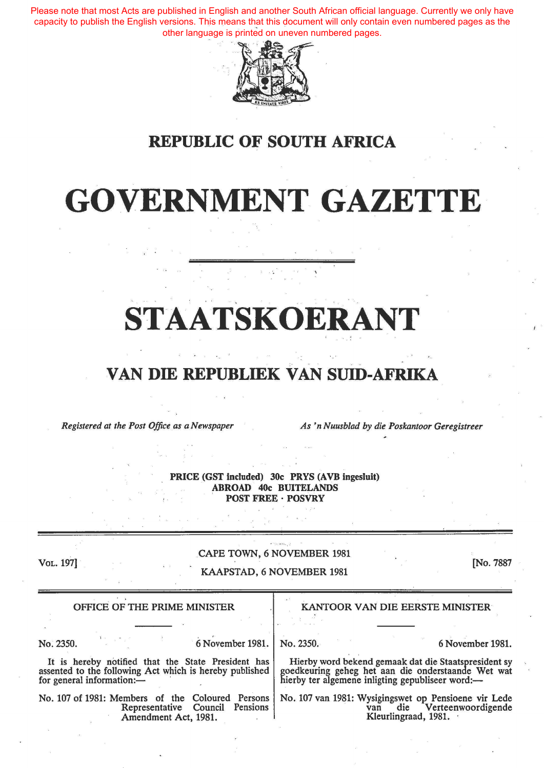Please note that most Acts are published in English and another South African official language. Currently we only have capacity to publish the English versions. This means that this document will only contain even numbered pages as the other language is printed on uneven numbered pages.



## REPUBLIC OF SOUTH AFRICA

## GOVERNMENT GAZETTE

# STAATSKOERANT

## VAN DIE REPUBLIEK VAN SUID-AFRIKA

*Registered at the Post Office as a Newspaper As 'n Nuusblad by die Poskantoor Geregistreer* 

PRICE (GST included) 30c PRYS (AVB ingesluit) ABROAD 40c BUITELANDS POST FREE · POSVRY

VoL. 197]

#### CAPE TOWN, 6 NOVEMBER 1981

#### KAAPSTAD, 6 NOVEMBER 1981

[No. 7887

| OFFICE OF THE PRIME MINISTER                                                                               | KANTOOR VAN DIE EERSTE MINISTER                                                                     |
|------------------------------------------------------------------------------------------------------------|-----------------------------------------------------------------------------------------------------|
| 6 November 1981.                                                                                           | 6 November 1981.                                                                                    |
| No. 2350.                                                                                                  | No. 2350.                                                                                           |
| It is hereby notified that the State President has assented to the following Act which is hereby published | Hierby word bekend gemaak dat die Staatspresident sy                                                |
| for general information:-                                                                                  | goedkeuring geheg het aan die onderstaande Wet wat hierby ter algemene inligting gepubliseer word:- |
| No. 107 of 1981: Members of the Coloured Persons                                                           | No. 107 van 1981: Wysigingswet op Pensioene vir Lede                                                |
| Pensions                                                                                                   | die Verteenwoordigende                                                                              |
| Representative Council                                                                                     | van                                                                                                 |
| Amendment Act, 1981.                                                                                       | Kleurlingraad, 1981.                                                                                |